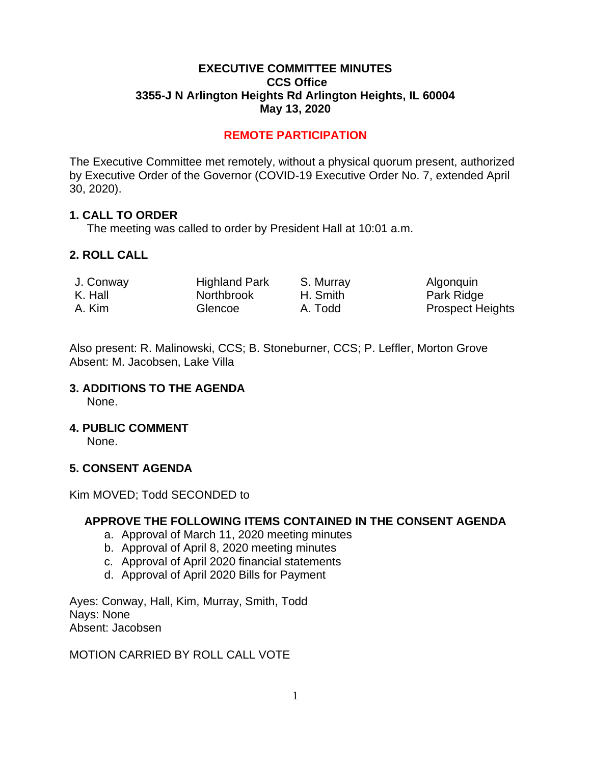### **EXECUTIVE COMMITTEE MINUTES CCS Office 3355-J N Arlington Heights Rd Arlington Heights, IL 60004 May 13, 2020**

## **REMOTE PARTICIPATION**

The Executive Committee met remotely, without a physical quorum present, authorized by Executive Order of the Governor (COVID-19 Executive Order No. 7, extended April 30, 2020).

### **1. CALL TO ORDER**

The meeting was called to order by President Hall at 10:01 a.m.

### **2. ROLL CALL**

| J. Conway | <b>Highland Park</b> | S. Murray | Algonquin               |
|-----------|----------------------|-----------|-------------------------|
| K. Hall   | Northbrook           | H. Smith  | Park Ridge              |
| A. Kim    | Glencoe              | A. Todd   | <b>Prospect Heights</b> |

Also present: R. Malinowski, CCS; B. Stoneburner, CCS; P. Leffler, Morton Grove Absent: M. Jacobsen, Lake Villa

### **3. ADDITIONS TO THE AGENDA**

None.

### **4. PUBLIC COMMENT**

None.

### **5. CONSENT AGENDA**

Kim MOVED; Todd SECONDED to

### **APPROVE THE FOLLOWING ITEMS CONTAINED IN THE CONSENT AGENDA**

- a. Approval of March 11, 2020 meeting minutes
- b. Approval of April 8, 2020 meeting minutes
- c. Approval of April 2020 financial statements
- d. Approval of April 2020 Bills for Payment

Ayes: Conway, Hall, Kim, Murray, Smith, Todd Nays: None Absent: Jacobsen

## MOTION CARRIED BY ROLL CALL VOTE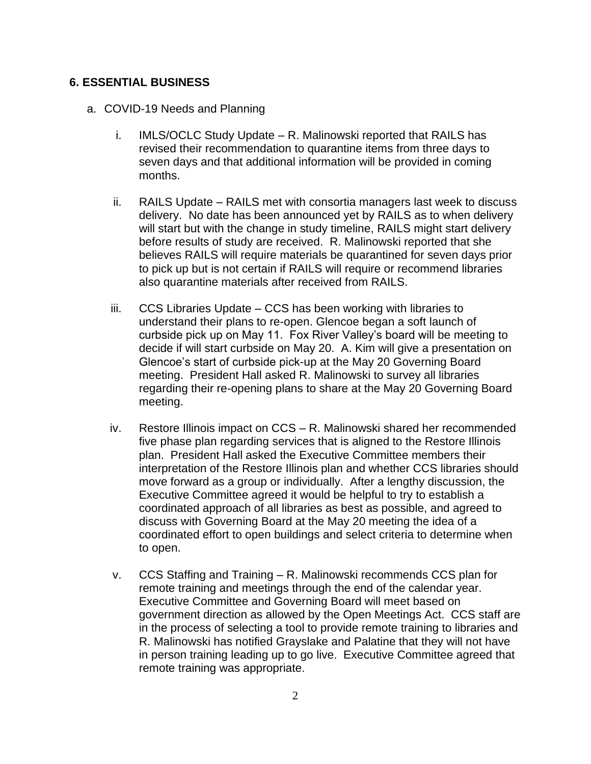### **6. ESSENTIAL BUSINESS**

- a. COVID-19 Needs and Planning
	- i. IMLS/OCLC Study Update R. Malinowski reported that RAILS has revised their recommendation to quarantine items from three days to seven days and that additional information will be provided in coming months.
	- ii. RAILS Update RAILS met with consortia managers last week to discuss delivery. No date has been announced yet by RAILS as to when delivery will start but with the change in study timeline, RAILS might start delivery before results of study are received. R. Malinowski reported that she believes RAILS will require materials be quarantined for seven days prior to pick up but is not certain if RAILS will require or recommend libraries also quarantine materials after received from RAILS.
	- iii. CCS Libraries Update CCS has been working with libraries to understand their plans to re-open. Glencoe began a soft launch of curbside pick up on May 11. Fox River Valley's board will be meeting to decide if will start curbside on May 20. A. Kim will give a presentation on Glencoe's start of curbside pick-up at the May 20 Governing Board meeting. President Hall asked R. Malinowski to survey all libraries regarding their re-opening plans to share at the May 20 Governing Board meeting.
	- iv. Restore Illinois impact on CCS R. Malinowski shared her recommended five phase plan regarding services that is aligned to the Restore Illinois plan. President Hall asked the Executive Committee members their interpretation of the Restore Illinois plan and whether CCS libraries should move forward as a group or individually. After a lengthy discussion, the Executive Committee agreed it would be helpful to try to establish a coordinated approach of all libraries as best as possible, and agreed to discuss with Governing Board at the May 20 meeting the idea of a coordinated effort to open buildings and select criteria to determine when to open.
	- v. CCS Staffing and Training R. Malinowski recommends CCS plan for remote training and meetings through the end of the calendar year. Executive Committee and Governing Board will meet based on government direction as allowed by the Open Meetings Act. CCS staff are in the process of selecting a tool to provide remote training to libraries and R. Malinowski has notified Grayslake and Palatine that they will not have in person training leading up to go live. Executive Committee agreed that remote training was appropriate.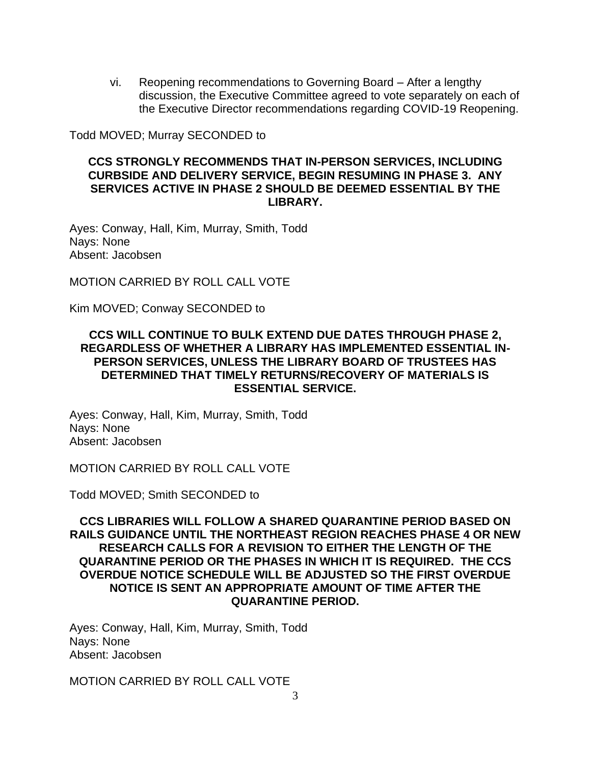vi. Reopening recommendations to Governing Board – After a lengthy discussion, the Executive Committee agreed to vote separately on each of the Executive Director recommendations regarding COVID-19 Reopening.

Todd MOVED; Murray SECONDED to

### **CCS STRONGLY RECOMMENDS THAT IN-PERSON SERVICES, INCLUDING CURBSIDE AND DELIVERY SERVICE, BEGIN RESUMING IN PHASE 3. ANY SERVICES ACTIVE IN PHASE 2 SHOULD BE DEEMED ESSENTIAL BY THE LIBRARY.**

Ayes: Conway, Hall, Kim, Murray, Smith, Todd Nays: None Absent: Jacobsen

MOTION CARRIED BY ROLL CALL VOTE

Kim MOVED; Conway SECONDED to

#### **CCS WILL CONTINUE TO BULK EXTEND DUE DATES THROUGH PHASE 2, REGARDLESS OF WHETHER A LIBRARY HAS IMPLEMENTED ESSENTIAL IN-PERSON SERVICES, UNLESS THE LIBRARY BOARD OF TRUSTEES HAS DETERMINED THAT TIMELY RETURNS/RECOVERY OF MATERIALS IS ESSENTIAL SERVICE.**

Ayes: Conway, Hall, Kim, Murray, Smith, Todd Nays: None Absent: Jacobsen

MOTION CARRIED BY ROLL CALL VOTE

Todd MOVED; Smith SECONDED to

**CCS LIBRARIES WILL FOLLOW A SHARED QUARANTINE PERIOD BASED ON RAILS GUIDANCE UNTIL THE NORTHEAST REGION REACHES PHASE 4 OR NEW RESEARCH CALLS FOR A REVISION TO EITHER THE LENGTH OF THE QUARANTINE PERIOD OR THE PHASES IN WHICH IT IS REQUIRED. THE CCS OVERDUE NOTICE SCHEDULE WILL BE ADJUSTED SO THE FIRST OVERDUE NOTICE IS SENT AN APPROPRIATE AMOUNT OF TIME AFTER THE QUARANTINE PERIOD.**

Ayes: Conway, Hall, Kim, Murray, Smith, Todd Nays: None Absent: Jacobsen

MOTION CARRIED BY ROLL CALL VOTE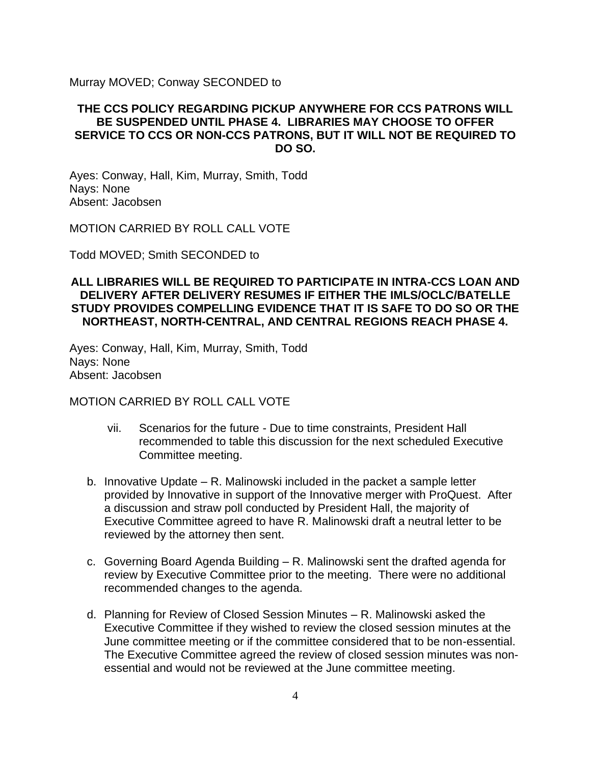Murray MOVED; Conway SECONDED to

### **THE CCS POLICY REGARDING PICKUP ANYWHERE FOR CCS PATRONS WILL BE SUSPENDED UNTIL PHASE 4. LIBRARIES MAY CHOOSE TO OFFER SERVICE TO CCS OR NON-CCS PATRONS, BUT IT WILL NOT BE REQUIRED TO DO SO.**

Ayes: Conway, Hall, Kim, Murray, Smith, Todd Nays: None Absent: Jacobsen

MOTION CARRIED BY ROLL CALL VOTE

Todd MOVED; Smith SECONDED to

### **ALL LIBRARIES WILL BE REQUIRED TO PARTICIPATE IN INTRA-CCS LOAN AND DELIVERY AFTER DELIVERY RESUMES IF EITHER THE IMLS/OCLC/BATELLE STUDY PROVIDES COMPELLING EVIDENCE THAT IT IS SAFE TO DO SO OR THE NORTHEAST, NORTH-CENTRAL, AND CENTRAL REGIONS REACH PHASE 4.**

Ayes: Conway, Hall, Kim, Murray, Smith, Todd Nays: None Absent: Jacobsen

#### MOTION CARRIED BY ROLL CALL VOTE

- vii. Scenarios for the future Due to time constraints, President Hall recommended to table this discussion for the next scheduled Executive Committee meeting.
- b. Innovative Update R. Malinowski included in the packet a sample letter provided by Innovative in support of the Innovative merger with ProQuest. After a discussion and straw poll conducted by President Hall, the majority of Executive Committee agreed to have R. Malinowski draft a neutral letter to be reviewed by the attorney then sent.
- c. Governing Board Agenda Building R. Malinowski sent the drafted agenda for review by Executive Committee prior to the meeting. There were no additional recommended changes to the agenda.
- d. Planning for Review of Closed Session Minutes R. Malinowski asked the Executive Committee if they wished to review the closed session minutes at the June committee meeting or if the committee considered that to be non-essential. The Executive Committee agreed the review of closed session minutes was nonessential and would not be reviewed at the June committee meeting.